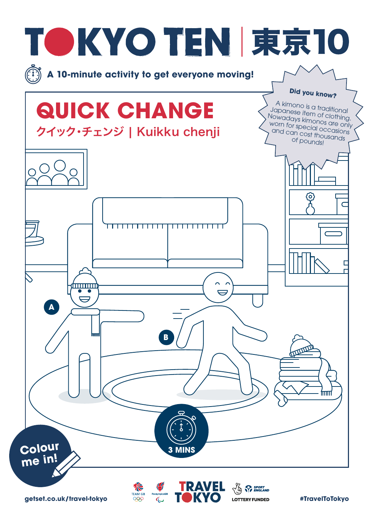